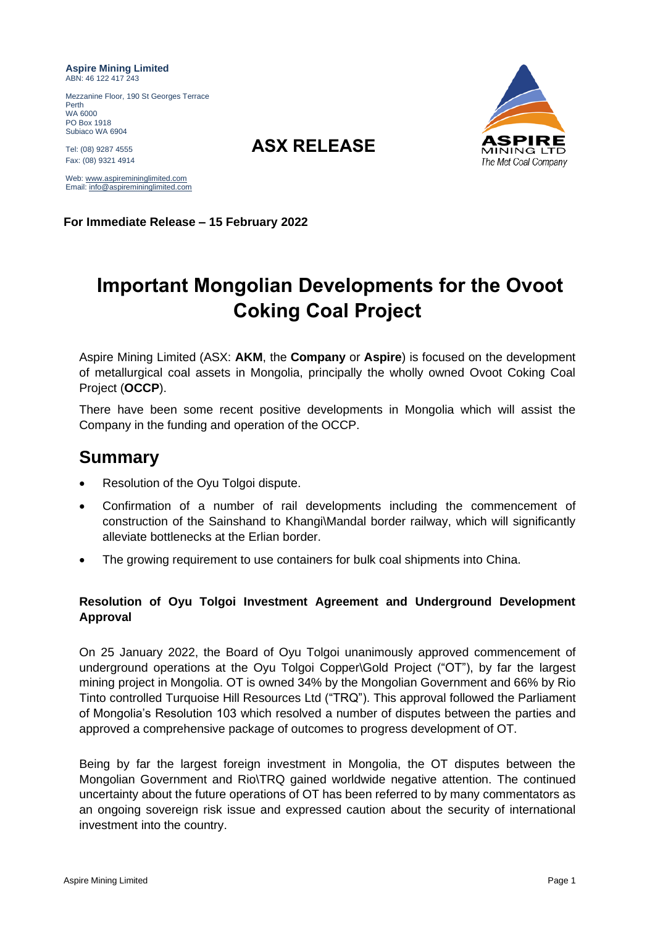**Aspire Mining Limited** ABN: 46 122 417 243

Mezzanine Floor, 190 St Georges Terrace Perth WA 6000 PO Box 1918 Subiaco WA 6904

Tel: (08) 9287 <sup>4555</sup> **ASX RELEASE** Fax: (08) 9321 4914

Web: [www.aspiremininglimited.com](http://www.aspiremininglimited.com/) Email[: info@aspiremininglimited.com](mailto:info@aspiremininglimited.com)

**For Immediate Release – 15 February 2022**

# **Important Mongolian Developments for the Ovoot Coking Coal Project**

Aspire Mining Limited (ASX: **AKM**, the **Company** or **Aspire**) is focused on the development of metallurgical coal assets in Mongolia, principally the wholly owned Ovoot Coking Coal Project (**OCCP**).

There have been some recent positive developments in Mongolia which will assist the Company in the funding and operation of the OCCP.

# **Summary**

- Resolution of the Oyu Tolgoi dispute.
- Confirmation of a number of rail developments including the commencement of construction of the Sainshand to Khangi\Mandal border railway, which will significantly alleviate bottlenecks at the Erlian border.
- The growing requirement to use containers for bulk coal shipments into China.

# **Resolution of Oyu Tolgoi Investment Agreement and Underground Development Approval**

On 25 January 2022, the Board of Oyu Tolgoi unanimously approved commencement of underground operations at the Oyu Tolgoi Copper\Gold Project ("OT"), by far the largest mining project in Mongolia. OT is owned 34% by the Mongolian Government and 66% by Rio Tinto controlled Turquoise Hill Resources Ltd ("TRQ"). This approval followed the Parliament of Mongolia's Resolution 103 which resolved a number of disputes between the parties and approved a comprehensive package of outcomes to progress development of OT.

Being by far the largest foreign investment in Mongolia, the OT disputes between the Mongolian Government and Rio\TRQ gained worldwide negative attention. The continued uncertainty about the future operations of OT has been referred to by many commentators as an ongoing sovereign risk issue and expressed caution about the security of international investment into the country.

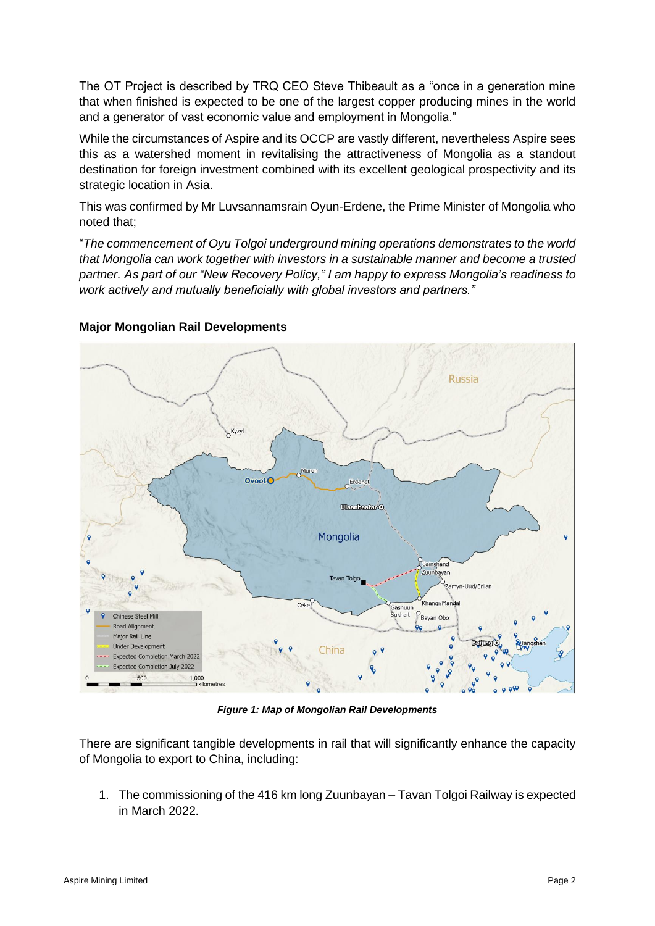The OT Project is described by TRQ CEO Steve Thibeault as a "once in a generation mine that when finished is expected to be one of the largest copper producing mines in the world and a generator of vast economic value and employment in Mongolia."

While the circumstances of Aspire and its OCCP are vastly different, nevertheless Aspire sees this as a watershed moment in revitalising the attractiveness of Mongolia as a standout destination for foreign investment combined with its excellent geological prospectivity and its strategic location in Asia.

This was confirmed by Mr Luvsannamsrain Oyun-Erdene, the Prime Minister of Mongolia who noted that;

"*The commencement of Oyu Tolgoi underground mining operations demonstrates to the world that Mongolia can work together with investors in a sustainable manner and become a trusted partner. As part of our "New Recovery Policy," I am happy to express Mongolia's readiness to work actively and mutually beneficially with global investors and partners."*



## **Major Mongolian Rail Developments**

*Figure 1: Map of Mongolian Rail Developments*

There are significant tangible developments in rail that will significantly enhance the capacity of Mongolia to export to China, including:

1. The commissioning of the 416 km long Zuunbayan – Tavan Tolgoi Railway is expected in March 2022.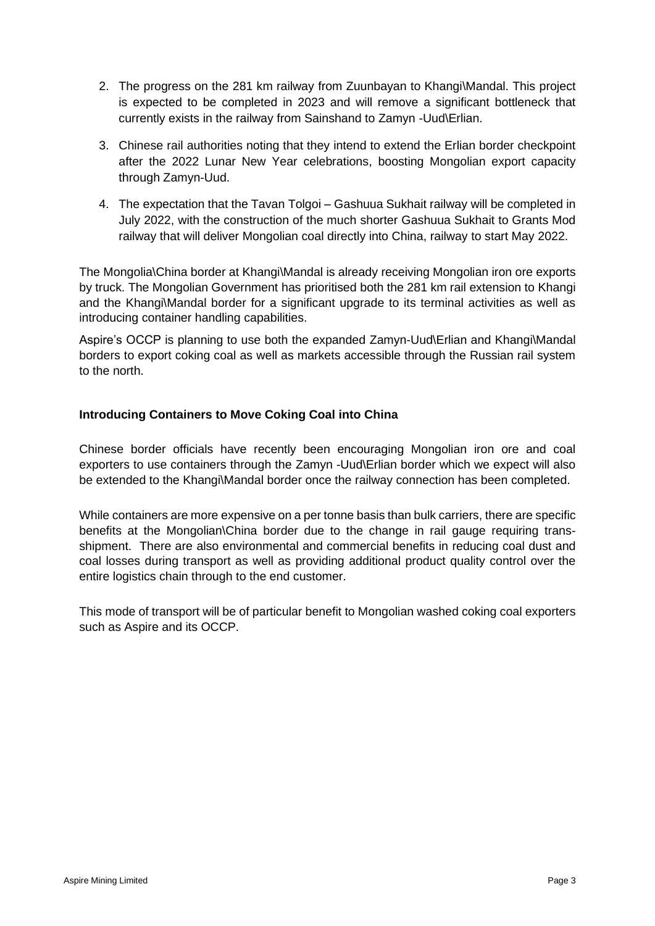- 2. The progress on the 281 km railway from Zuunbayan to Khangi\Mandal. This project is expected to be completed in 2023 and will remove a significant bottleneck that currently exists in the railway from Sainshand to Zamyn -Uud\Erlian.
- 3. Chinese rail authorities noting that they intend to extend the Erlian border checkpoint after the 2022 Lunar New Year celebrations, boosting Mongolian export capacity through Zamyn-Uud.
- 4. The expectation that the Tavan Tolgoi Gashuua Sukhait railway will be completed in July 2022, with the construction of the much shorter Gashuua Sukhait to Grants Mod railway that will deliver Mongolian coal directly into China, railway to start May 2022.

The Mongolia\China border at Khangi\Mandal is already receiving Mongolian iron ore exports by truck. The Mongolian Government has prioritised both the 281 km rail extension to Khangi and the Khangi\Mandal border for a significant upgrade to its terminal activities as well as introducing container handling capabilities.

Aspire's OCCP is planning to use both the expanded Zamyn-Uud\Erlian and Khangi\Mandal borders to export coking coal as well as markets accessible through the Russian rail system to the north.

## **Introducing Containers to Move Coking Coal into China**

Chinese border officials have recently been encouraging Mongolian iron ore and coal exporters to use containers through the Zamyn -Uud\Erlian border which we expect will also be extended to the Khangi\Mandal border once the railway connection has been completed.

While containers are more expensive on a per tonne basis than bulk carriers, there are specific benefits at the Mongolian\China border due to the change in rail gauge requiring transshipment. There are also environmental and commercial benefits in reducing coal dust and coal losses during transport as well as providing additional product quality control over the entire logistics chain through to the end customer.

This mode of transport will be of particular benefit to Mongolian washed coking coal exporters such as Aspire and its OCCP.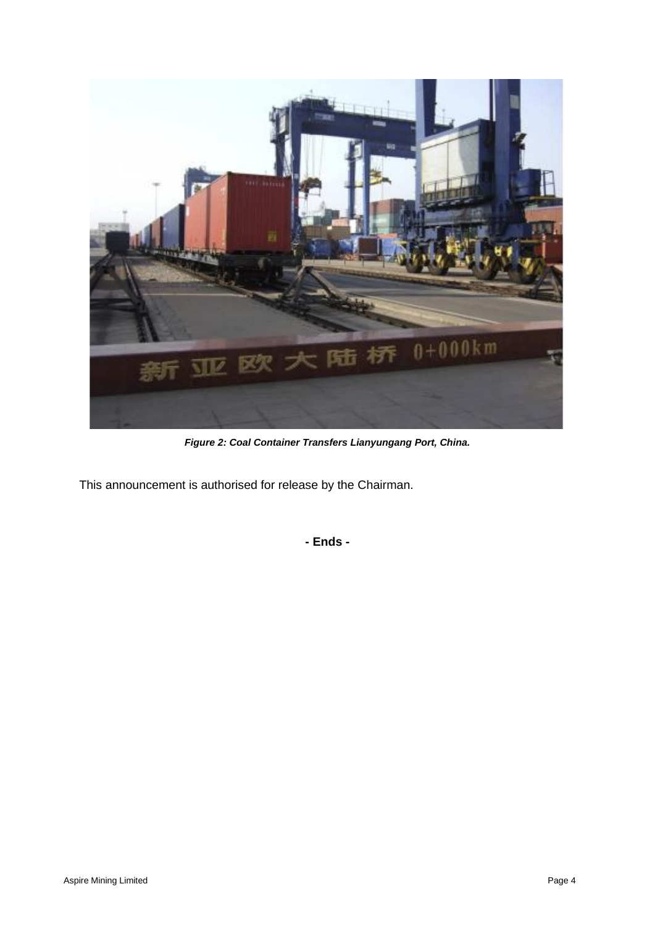

*Figure 2: Coal Container Transfers Lianyungang Port, China.*

This announcement is authorised for release by the Chairman.

**- Ends -**